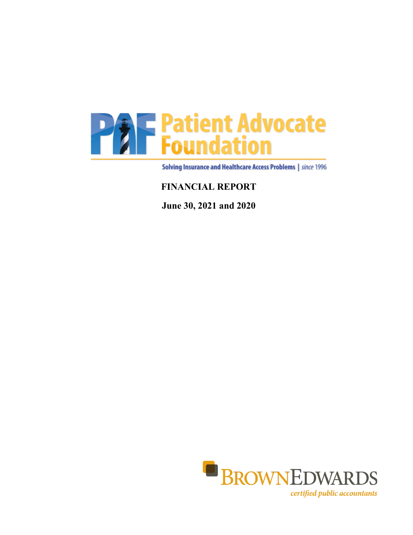

**Solving Insurance and Healthcare Access Problems | since 1996** 

# **FINANCIAL REPORT**

**June 30, 2021 and 2020**

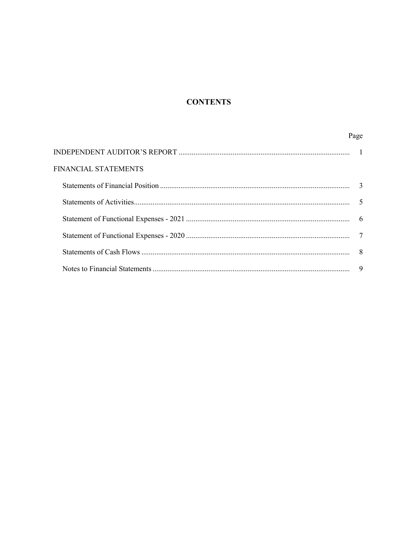# **CONTENTS**

Page

| <b>FINANCIAL STATEMENTS</b> |  |
|-----------------------------|--|
|                             |  |
|                             |  |
|                             |  |
|                             |  |
|                             |  |
|                             |  |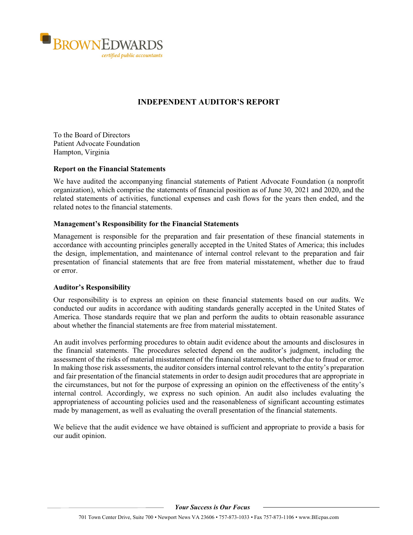

# **INDEPENDENT AUDITOR'S REPORT**

To the Board of Directors Patient Advocate Foundation Hampton, Virginia

## **Report on the Financial Statements**

We have audited the accompanying financial statements of Patient Advocate Foundation (a nonprofit organization), which comprise the statements of financial position as of June 30, 2021 and 2020, and the related statements of activities, functional expenses and cash flows for the years then ended, and the related notes to the financial statements.

### **Management's Responsibility for the Financial Statements**

Management is responsible for the preparation and fair presentation of these financial statements in accordance with accounting principles generally accepted in the United States of America; this includes the design, implementation, and maintenance of internal control relevant to the preparation and fair presentation of financial statements that are free from material misstatement, whether due to fraud or error.

#### **Auditor's Responsibility**

Our responsibility is to express an opinion on these financial statements based on our audits. We conducted our audits in accordance with auditing standards generally accepted in the United States of America. Those standards require that we plan and perform the audits to obtain reasonable assurance about whether the financial statements are free from material misstatement.

An audit involves performing procedures to obtain audit evidence about the amounts and disclosures in the financial statements. The procedures selected depend on the auditor's judgment, including the assessment of the risks of material misstatement of the financial statements, whether due to fraud or error. In making those risk assessments, the auditor considers internal control relevant to the entity's preparation and fair presentation of the financial statements in order to design audit procedures that are appropriate in the circumstances, but not for the purpose of expressing an opinion on the effectiveness of the entity's internal control. Accordingly, we express no such opinion. An audit also includes evaluating the appropriateness of accounting policies used and the reasonableness of significant accounting estimates made by management, as well as evaluating the overall presentation of the financial statements.

We believe that the audit evidence we have obtained is sufficient and appropriate to provide a basis for our audit opinion.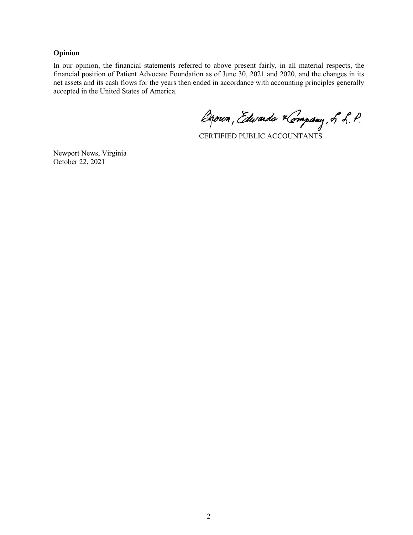#### **Opinion**

In our opinion, the financial statements referred to above present fairly, in all material respects, the financial position of Patient Advocate Foundation as of June 30, 2021 and 2020, and the changes in its net assets and its cash flows for the years then ended in accordance with accounting principles generally accepted in the United States of America.

Brown, Edwards & Company, S. L. P.

CERTIFIED PUBLIC ACCOUNTANTS

Newport News, Virginia October 22, 2021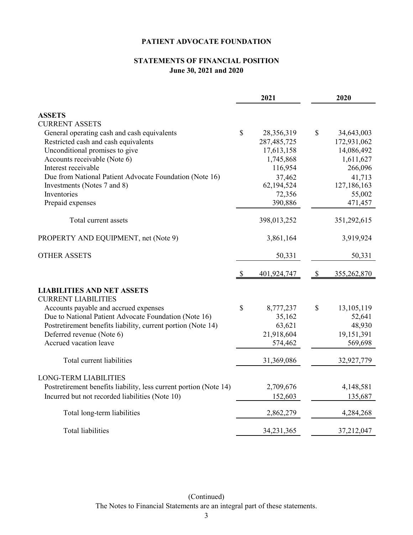# **STATEMENTS OF FINANCIAL POSITION June 30, 2021 and 2020**

|                                                                                                   | 2021          |               |               | 2020        |  |
|---------------------------------------------------------------------------------------------------|---------------|---------------|---------------|-------------|--|
| <b>ASSETS</b>                                                                                     |               |               |               |             |  |
| <b>CURRENT ASSETS</b>                                                                             |               |               |               |             |  |
| General operating cash and cash equivalents                                                       | $\mathsf{\$}$ | 28,356,319    | $\mathbb{S}$  | 34,643,003  |  |
| Restricted cash and cash equivalents                                                              |               | 287, 485, 725 |               | 172,931,062 |  |
| Unconditional promises to give                                                                    |               | 17,613,158    |               | 14,086,492  |  |
| Accounts receivable (Note 6)                                                                      |               | 1,745,868     |               | 1,611,627   |  |
| Interest receivable                                                                               |               | 116,954       |               | 266,096     |  |
| Due from National Patient Advocate Foundation (Note 16)                                           |               | 37,462        |               | 41,713      |  |
| Investments (Notes 7 and 8)                                                                       |               | 62,194,524    |               | 127,186,163 |  |
| Inventories                                                                                       |               | 72,356        |               | 55,002      |  |
| Prepaid expenses                                                                                  |               | 390,886       |               | 471,457     |  |
| Total current assets                                                                              |               | 398,013,252   |               | 351,292,615 |  |
| PROPERTY AND EQUIPMENT, net (Note 9)                                                              |               | 3,861,164     |               | 3,919,924   |  |
| <b>OTHER ASSETS</b>                                                                               |               | 50,331        |               | 50,331      |  |
|                                                                                                   | $\mathcal{S}$ | 401,924,747   | $\mathcal{S}$ | 355,262,870 |  |
| <b>LIABILITIES AND NET ASSETS</b>                                                                 |               |               |               |             |  |
| <b>CURRENT LIABILITIES</b>                                                                        |               |               |               |             |  |
| Accounts payable and accrued expenses                                                             | \$            | 8,777,237     | \$            | 13,105,119  |  |
| Due to National Patient Advocate Foundation (Note 16)                                             |               | 35,162        |               | 52,641      |  |
| Postretirement benefits liability, current portion (Note 14)                                      |               | 63,621        |               | 48,930      |  |
| Deferred revenue (Note 6)                                                                         |               | 21,918,604    |               | 19,151,391  |  |
| Accrued vacation leave                                                                            |               | 574,462       |               | 569,698     |  |
| Total current liabilities                                                                         |               | 31,369,086    |               | 32,927,779  |  |
|                                                                                                   |               |               |               |             |  |
| <b>LONG-TERM LIABILITIES</b><br>Postretirement benefits liability, less current portion (Note 14) |               | 2,709,676     |               | 4,148,581   |  |
| Incurred but not recorded liabilities (Note 10)                                                   |               | 152,603       |               | 135,687     |  |
|                                                                                                   |               |               |               |             |  |
| Total long-term liabilities                                                                       |               | 2,862,279     |               | 4,284,268   |  |
| <b>Total liabilities</b>                                                                          |               | 34,231,365    |               | 37,212,047  |  |

(Continued) The Notes to Financial Statements are an integral part of these statements.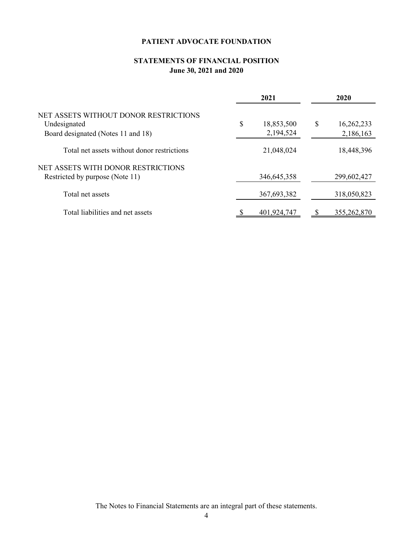# **STATEMENTS OF FINANCIAL POSITION June 30, 2021 and 2020**

|                                                                       | 2021 |               | 2020 |               |
|-----------------------------------------------------------------------|------|---------------|------|---------------|
| NET ASSETS WITHOUT DONOR RESTRICTIONS<br>Undesignated                 | \$   | 18,853,500    | \$   | 16,262,233    |
| Board designated (Notes 11 and 18)                                    |      | 2,194,524     |      | 2,186,163     |
| Total net assets without donor restrictions                           |      | 21,048,024    |      | 18,448,396    |
| NET ASSETS WITH DONOR RESTRICTIONS<br>Restricted by purpose (Note 11) |      | 346, 645, 358 |      | 299,602,427   |
| Total net assets                                                      |      | 367,693,382   |      | 318,050,823   |
| Total liabilities and net assets                                      |      | 401,924,747   |      | 355, 262, 870 |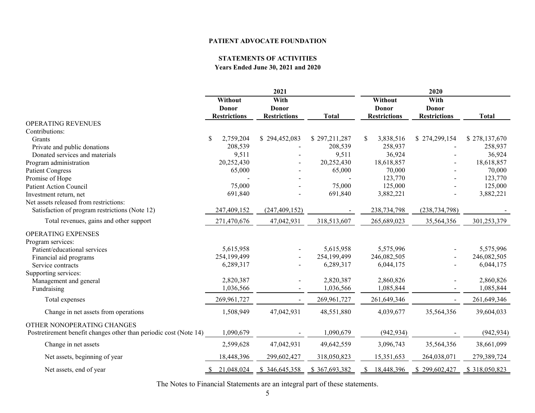## **STATEMENTS OF ACTIVITIES Years Ended June 30, 2021 and 2020**

|                                                                   |                            | 2021                |               | 2020                      |                     |               |  |
|-------------------------------------------------------------------|----------------------------|---------------------|---------------|---------------------------|---------------------|---------------|--|
|                                                                   | Without<br>Donor           | With<br>Donor       |               | Without<br><b>Donor</b>   | With<br>Donor       |               |  |
| <b>OPERATING REVENUES</b>                                         | <b>Restrictions</b>        | <b>Restrictions</b> | <b>Total</b>  | <b>Restrictions</b>       | <b>Restrictions</b> | <b>Total</b>  |  |
| Contributions:                                                    |                            |                     |               |                           |                     |               |  |
| Grants                                                            | 2,759,204<br><sup>\$</sup> | \$294,452,083       | \$297,211,287 | 3,838,516<br><sup>S</sup> | \$274,299,154       | \$278,137,670 |  |
| Private and public donations                                      | 208,539                    |                     | 208,539       | 258,937                   |                     | 258,937       |  |
| Donated services and materials                                    | 9,511                      |                     | 9,511         | 36,924                    |                     | 36,924        |  |
| Program administration                                            | 20,252,430                 |                     | 20,252,430    | 18,618,857                |                     | 18,618,857    |  |
| <b>Patient Congress</b>                                           | 65,000                     |                     | 65,000        | 70,000                    |                     | 70,000        |  |
| Promise of Hope                                                   |                            |                     |               | 123,770                   |                     | 123,770       |  |
| <b>Patient Action Council</b>                                     | 75,000                     |                     | 75,000        | 125,000                   |                     | 125,000       |  |
| Investment return, net                                            | 691,840                    |                     | 691,840       | 3,882,221                 |                     | 3,882,221     |  |
| Net assets released from restrictions:                            |                            |                     |               |                           |                     |               |  |
| Satisfaction of program restrictions (Note 12)                    | 247,409,152                | (247, 409, 152)     |               | 238,734,798               | (238, 734, 798)     |               |  |
| Total revenues, gains and other support                           | 271,470,676                | 47,042,931          | 318,513,607   | 265,689,023               | 35,564,356          | 301,253,379   |  |
| OPERATING EXPENSES                                                |                            |                     |               |                           |                     |               |  |
| Program services:                                                 |                            |                     |               |                           |                     |               |  |
| Patient/educational services                                      | 5,615,958                  |                     | 5,615,958     | 5,575,996                 |                     | 5,575,996     |  |
| Financial aid programs                                            | 254,199,499                |                     | 254,199,499   | 246,082,505               |                     | 246,082,505   |  |
| Service contracts                                                 | 6,289,317                  |                     | 6,289,317     | 6,044,175                 |                     | 6,044,175     |  |
| Supporting services:                                              |                            |                     |               |                           |                     |               |  |
| Management and general                                            | 2,820,387                  |                     | 2,820,387     | 2,860,826                 |                     | 2,860,826     |  |
| Fundraising                                                       | 1,036,566                  |                     | 1,036,566     | 1,085,844                 |                     | 1,085,844     |  |
| Total expenses                                                    | 269,961,727                |                     | 269,961,727   | 261,649,346               |                     | 261,649,346   |  |
| Change in net assets from operations                              | 1,508,949                  | 47,042,931          | 48,551,880    | 4,039,677                 | 35,564,356          | 39,604,033    |  |
| OTHER NONOPERATING CHANGES                                        |                            |                     |               |                           |                     |               |  |
| Postretirement benefit changes other than periodic cost (Note 14) | 1,090,679                  |                     | 1,090,679     | (942, 934)                |                     | (942, 934)    |  |
| Change in net assets                                              | 2,599,628                  | 47,042,931          | 49,642,559    | 3,096,743                 | 35,564,356          | 38,661,099    |  |
| Net assets, beginning of year                                     | 18,448,396                 | 299,602,427         | 318,050,823   | 15,351,653                | 264,038,071         | 279,389,724   |  |
| Net assets, end of year                                           | 21,048,024<br><sup>S</sup> | \$346,645,358       | \$367,693,382 | 18,448,396                | \$299,602,427       | \$318,050,823 |  |

The Notes to Financial Statements are an integral part of these statements.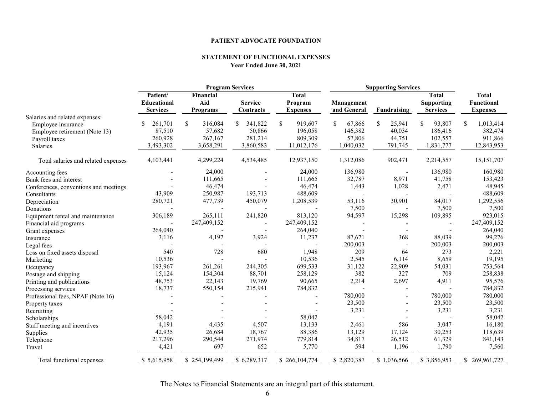## **STATEMENT OF FUNCTIONAL EXPENSES Year Ended June 30, 2021**

|                                       | <b>Program Services</b>                    |                              |                             | <b>Supporting Services</b>                 |                           |                          |                                                      |                                                      |
|---------------------------------------|--------------------------------------------|------------------------------|-----------------------------|--------------------------------------------|---------------------------|--------------------------|------------------------------------------------------|------------------------------------------------------|
|                                       | Patient/<br>Educational<br><b>Services</b> | Financial<br>Aid<br>Programs | <b>Service</b><br>Contracts | <b>Total</b><br>Program<br><b>Expenses</b> | Management<br>and General | Fundraising              | <b>Total</b><br><b>Supporting</b><br><b>Services</b> | <b>Total</b><br><b>Functional</b><br><b>Expenses</b> |
| Salaries and related expenses:        |                                            |                              |                             |                                            |                           |                          |                                                      |                                                      |
| Employee insurance                    | 261,701                                    | 316,084<br>S.                | 341,822                     | \$<br>919,607                              | \$<br>67,866              | \$<br>25,941             | 93,807<br>\$                                         | 1,013,414<br>\$                                      |
| Employee retirement (Note 13)         | 87,510                                     | 57,682                       | 50,866                      | 196,058                                    | 146,382                   | 40,034                   | 186,416                                              | 382,474                                              |
| Payroll taxes                         | 260,928                                    | 267,167                      | 281,214                     | 809,309                                    | 57,806                    | 44,751                   | 102,557                                              | 911,866                                              |
| Salaries                              | 3,493,302                                  | 3,658,291                    | 3,860,583                   | 11,012,176                                 | 1,040,032                 | 791,745                  | 1,831,777                                            | 12,843,953                                           |
| Total salaries and related expenses   | 4,103,441                                  | 4,299,224                    | 4,534,485                   | 12,937,150                                 | 1,312,086                 | 902,471                  | 2,214,557                                            | 15,151,707                                           |
| Accounting fees                       |                                            | 24,000                       |                             | 24,000                                     | 136,980                   |                          | 136,980                                              | 160,980                                              |
| Bank fees and interest                |                                            | 111,665                      |                             | 111,665                                    | 32,787                    | 8,971                    | 41,758                                               | 153,423                                              |
| Conferences, conventions and meetings |                                            | 46,474                       |                             | 46,474                                     | 1,443                     | 1,028                    | 2,471                                                | 48,945                                               |
| Consultants                           | 43,909                                     | 250,987                      | 193,713                     | 488,609                                    |                           |                          |                                                      | 488,609                                              |
| Depreciation                          | 280,721                                    | 477,739                      | 450,079                     | 1,208,539                                  | 53,116                    | 30,901                   | 84,017                                               | 1,292,556                                            |
| Donations                             |                                            |                              |                             |                                            | 7,500                     |                          | 7,500                                                | 7,500                                                |
| Equipment rental and maintenance      | 306,189                                    | 265,111                      | 241,820                     | 813,120                                    | 94,597                    | 15,298                   | 109,895                                              | 923,015                                              |
| Financial aid programs                |                                            | 247,409,152                  |                             | 247,409,152                                |                           |                          |                                                      | 247,409,152                                          |
| Grant expenses                        | 264,040                                    |                              |                             | 264,040                                    |                           |                          |                                                      | 264,040                                              |
| Insurance                             | 3,116                                      | 4,197                        | 3,924                       | 11,237                                     | 87,671                    | 368                      | 88,039                                               | 99,276                                               |
| Legal fees                            |                                            |                              |                             |                                            | 200,003                   | $\overline{\phantom{a}}$ | 200,003                                              | 200,003                                              |
| Loss on fixed assets disposal         | 540                                        | 728                          | 680                         | 1,948                                      | 209                       | 64                       | 273                                                  | 2,221                                                |
| Marketing                             | 10,536                                     |                              |                             | 10,536                                     | 2,545                     | 6,114                    | 8,659                                                | 19,195                                               |
| Occupancy                             | 193,967                                    | 261,261                      | 244,305                     | 699,533                                    | 31,122                    | 22,909                   | 54,031                                               | 753,564                                              |
| Postage and shipping                  | 15,124                                     | 154,304                      | 88,701                      | 258,129                                    | 382                       | 327                      | 709                                                  | 258,838                                              |
| Printing and publications             | 48,753                                     | 22,143                       | 19,769                      | 90,665                                     | 2,214                     | 2,697                    | 4,911                                                | 95,576                                               |
| Processing services                   | 18,737                                     | 550,154                      | 215,941                     | 784,832                                    |                           | $\overline{\phantom{a}}$ |                                                      | 784,832                                              |
| Professional fees, NPAF (Note 16)     |                                            |                              |                             |                                            | 780,000                   |                          | 780,000                                              | 780,000                                              |
| Property taxes                        |                                            |                              |                             |                                            | 23,500                    |                          | 23,500                                               | 23,500                                               |
| Recruiting                            |                                            |                              |                             |                                            | 3,231                     |                          | 3,231                                                | 3,231                                                |
| Scholarships                          | 58,042                                     |                              |                             | 58,042                                     |                           |                          |                                                      | 58,042                                               |
| Staff meeting and incentives          | 4,191                                      | 4,435                        | 4,507                       | 13,133                                     | 2,461                     | 586                      | 3,047                                                | 16,180                                               |
| Supplies                              | 42,935                                     | 26,684                       | 18,767                      | 88,386                                     | 13,129                    | 17,124                   | 30,253                                               | 118,639                                              |
| Telephone                             | 217,296                                    | 290,544                      | 271,974                     | 779,814                                    | 34,817                    | 26,512                   | 61,329                                               | 841,143                                              |
| Travel                                | 4,421                                      | 697                          | 652                         | 5,770                                      | 594                       | 1,196                    | 1,790                                                | 7,560                                                |
| Total functional expenses             | \$5,615,958                                | \$254,199,499                | \$6,289,317                 | \$266,104,774                              | \$2,820,387               | \$1,036,566              | \$3,856,953                                          | \$269,961,727                                        |

The Notes to Financial Statements are an integral part of this statement.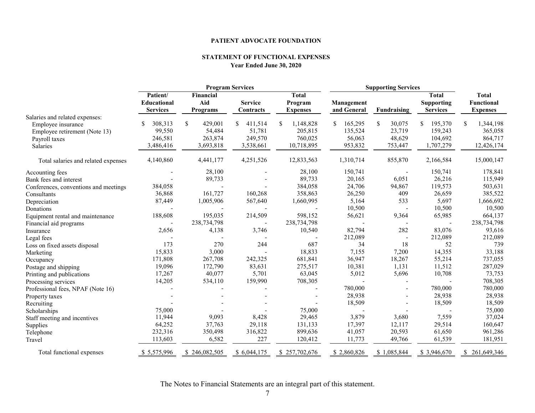## **STATEMENT OF FUNCTIONAL EXPENSES Year Ended June 30, 2020**

|                                       | <b>Program Services</b>                    |                                     |                             | <b>Supporting Services</b>                 |                           |              |                                                      |                                                      |
|---------------------------------------|--------------------------------------------|-------------------------------------|-----------------------------|--------------------------------------------|---------------------------|--------------|------------------------------------------------------|------------------------------------------------------|
|                                       | Patient/<br>Educational<br><b>Services</b> | Financial<br>Aid<br><b>Programs</b> | <b>Service</b><br>Contracts | <b>Total</b><br>Program<br><b>Expenses</b> | Management<br>and General | Fundraising  | <b>Total</b><br><b>Supporting</b><br><b>Services</b> | <b>Total</b><br><b>Functional</b><br><b>Expenses</b> |
| Salaries and related expenses:        |                                            |                                     |                             |                                            |                           |              |                                                      |                                                      |
| Employee insurance                    | 308,313                                    | \$<br>429,001                       | 411,514<br>S.               | \$<br>1,148,828                            | 165,295<br>\$.            | \$<br>30,075 | 195,370<br>S                                         | 1,344,198<br>\$.                                     |
| Employee retirement (Note 13)         | 99,550                                     | 54,484                              | 51,781                      | 205,815                                    | 135,524                   | 23,719       | 159,243                                              | 365,058                                              |
| Payroll taxes                         | 246,581                                    | 263,874                             | 249,570                     | 760,025                                    | 56,063                    | 48,629       | 104,692                                              | 864,717                                              |
| Salaries                              | 3,486,416                                  | 3,693,818                           | 3,538,661                   | 10,718,895                                 | 953,832                   | 753,447      | 1,707,279                                            | 12,426,174                                           |
| Total salaries and related expenses   | 4,140,860                                  | 4,441,177                           | 4,251,526                   | 12,833,563                                 | 1,310,714                 | 855,870      | 2,166,584                                            | 15,000,147                                           |
| Accounting fees                       |                                            | 28,100                              |                             | 28,100                                     | 150,741                   |              | 150,741                                              | 178,841                                              |
| Bank fees and interest                |                                            | 89,733                              |                             | 89,733                                     | 20,165                    | 6,051        | 26,216                                               | 115,949                                              |
| Conferences, conventions and meetings | 384,058                                    |                                     |                             | 384,058                                    | 24,706                    | 94,867       | 119,573                                              | 503,631                                              |
| Consultants                           | 36,868                                     | 161,727                             | 160,268                     | 358,863                                    | 26,250                    | 409          | 26,659                                               | 385,522                                              |
| Depreciation                          | 87,449                                     | 1,005,906                           | 567,640                     | 1,660,995                                  | 5,164                     | 533          | 5,697                                                | 1,666,692                                            |
| Donations                             |                                            |                                     |                             |                                            | 10,500                    |              | 10,500                                               | 10,500                                               |
| Equipment rental and maintenance      | 188,608                                    | 195,035                             | 214,509                     | 598,152                                    | 56,621                    | 9,364        | 65,985                                               | 664,137                                              |
| Financial aid programs                |                                            | 238,734,798                         |                             | 238,734,798                                |                           |              |                                                      | 238,734,798                                          |
| Insurance                             | 2,656                                      | 4,138                               | 3,746                       | 10,540                                     | 82,794                    | 282          | 83,076                                               | 93,616                                               |
| Legal fees                            |                                            |                                     |                             |                                            | 212,089                   |              | 212,089                                              | 212,089                                              |
| Loss on fixed assets disposal         | 173                                        | 270                                 | 244                         | 687                                        | 34                        | 18           | 52                                                   | 739                                                  |
| Marketing                             | 15,833                                     | 3,000                               |                             | 18,833                                     | 7,155                     | 7,200        | 14,355                                               | 33,188                                               |
| Occupancy                             | 171,808                                    | 267,708                             | 242,325                     | 681,841                                    | 36,947                    | 18,267       | 55,214                                               | 737,055                                              |
| Postage and shipping                  | 19,096                                     | 172,790                             | 83,631                      | 275,517                                    | 10,381                    | 1,131        | 11,512                                               | 287,029                                              |
| Printing and publications             | 17,267                                     | 40,077                              | 5,701                       | 63,045                                     | 5,012                     | 5,696        | 10,708                                               | 73,753                                               |
| Processing services                   | 14,205                                     | 534,110                             | 159,990                     | 708,305                                    |                           |              |                                                      | 708,305                                              |
| Professional fees, NPAF (Note 16)     |                                            |                                     |                             |                                            | 780,000                   |              | 780,000                                              | 780,000                                              |
| Property taxes                        |                                            |                                     |                             |                                            | 28,938                    |              | 28,938                                               | 28,938                                               |
| Recruiting                            |                                            |                                     |                             |                                            | 18,509                    |              | 18,509                                               | 18,509                                               |
| Scholarships                          | 75,000                                     |                                     |                             | 75,000                                     |                           |              |                                                      | 75,000                                               |
| Staff meeting and incentives          | 11,944                                     | 9,093                               | 8,428                       | 29,465                                     | 3,879                     | 3,680        | 7,559                                                | 37,024                                               |
| Supplies                              | 64,252                                     | 37,763                              | 29,118                      | 131,133                                    | 17,397                    | 12,117       | 29,514                                               | 160,647                                              |
| Telephone                             | 232,316                                    | 350,498                             | 316,822                     | 899,636                                    | 41,057                    | 20,593       | 61,650                                               | 961,286                                              |
| Travel                                | 113,603                                    | 6,582                               | 227                         | 120,412                                    | 11,773                    | 49,766       | 61,539                                               | 181,951                                              |
| Total functional expenses             | \$5,575,996                                | \$246,082,505                       | \$6,044,175                 | \$257,702,676                              | \$2,860,826               | \$1,085,844  | \$3,946,670                                          | \$261,649,346                                        |

The Notes to Financial Statements are an integral part of this statement.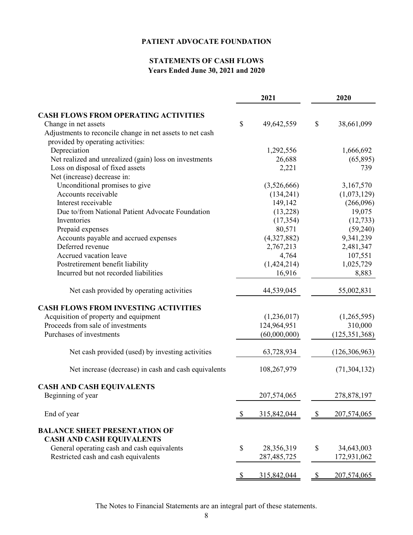# **STATEMENTS OF CASH FLOWS Years Ended June 30, 2021 and 2020**

|                                                           |    | 2021          |                             | 2020            |  |
|-----------------------------------------------------------|----|---------------|-----------------------------|-----------------|--|
| <b>CASH FLOWS FROM OPERATING ACTIVITIES</b>               |    |               |                             |                 |  |
| Change in net assets                                      | \$ | 49,642,559    | \$                          | 38,661,099      |  |
| Adjustments to reconcile change in net assets to net cash |    |               |                             |                 |  |
| provided by operating activities:                         |    |               |                             |                 |  |
| Depreciation                                              |    | 1,292,556     |                             | 1,666,692       |  |
| Net realized and unrealized (gain) loss on investments    |    | 26,688        |                             | (65,895)        |  |
| Loss on disposal of fixed assets                          |    | 2,221         |                             | 739             |  |
| Net (increase) decrease in:                               |    |               |                             |                 |  |
| Unconditional promises to give                            |    | (3,526,666)   |                             | 3,167,570       |  |
| Accounts receivable                                       |    | (134,241)     |                             | (1,073,129)     |  |
| Interest receivable                                       |    | 149,142       |                             | (266,096)       |  |
| Due to/from National Patient Advocate Foundation          |    | (13,228)      |                             | 19,075          |  |
| Inventories                                               |    | (17, 354)     |                             | (12, 733)       |  |
| Prepaid expenses                                          |    | 80,571        |                             | (59,240)        |  |
| Accounts payable and accrued expenses                     |    | (4,327,882)   |                             | 9,341,239       |  |
| Deferred revenue                                          |    | 2,767,213     |                             | 2,481,347       |  |
| Accrued vacation leave                                    |    |               |                             |                 |  |
|                                                           |    | 4,764         |                             | 107,551         |  |
| Postretirement benefit liability                          |    | (1,424,214)   |                             | 1,025,729       |  |
| Incurred but not recorded liabilities                     |    | 16,916        |                             | 8,883           |  |
| Net cash provided by operating activities                 |    | 44,539,045    |                             | 55,002,831      |  |
| <b>CASH FLOWS FROM INVESTING ACTIVITIES</b>               |    |               |                             |                 |  |
| Acquisition of property and equipment                     |    | (1,236,017)   |                             | (1,265,595)     |  |
| Proceeds from sale of investments                         |    | 124,964,951   |                             | 310,000         |  |
| Purchases of investments                                  |    | (60,000,000)  |                             | (125, 351, 368) |  |
|                                                           |    |               |                             |                 |  |
| Net cash provided (used) by investing activities          |    | 63,728,934    |                             | (126, 306, 963) |  |
| Net increase (decrease) in cash and cash equivalents      |    | 108,267,979   |                             | (71, 304, 132)  |  |
| <b>CASH AND CASH EQUIVALENTS</b>                          |    |               |                             |                 |  |
| Beginning of year                                         |    | 207,574,065   |                             | 278,878,197     |  |
| End of year                                               |    | 315,842,044   | $\mathcal{S}$               | 207,574,065     |  |
| <b>BALANCE SHEET PRESENTATION OF</b>                      |    |               |                             |                 |  |
| <b>CASH AND CASH EQUIVALENTS</b>                          |    |               |                             |                 |  |
| General operating cash and cash equivalents               | \$ | 28,356,319    | \$                          | 34,643,003      |  |
| Restricted cash and cash equivalents                      |    | 287, 485, 725 |                             | 172,931,062     |  |
|                                                           | \$ | 315,842,044   | $\mathcal{S}_{\mathcal{S}}$ | 207,574,065     |  |

The Notes to Financial Statements are an integral part of these statements.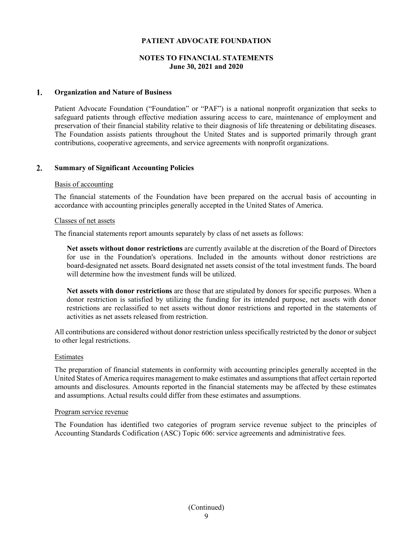## **NOTES TO FINANCIAL STATEMENTS June 30, 2021 and 2020**

#### 1. **Organization and Nature of Business**

Patient Advocate Foundation ("Foundation" or "PAF") is a national nonprofit organization that seeks to safeguard patients through effective mediation assuring access to care, maintenance of employment and preservation of their financial stability relative to their diagnosis of life threatening or debilitating diseases. The Foundation assists patients throughout the United States and is supported primarily through grant contributions, cooperative agreements, and service agreements with nonprofit organizations.

#### $2.$ **Summary of Significant Accounting Policies**

#### Basis of accounting

The financial statements of the Foundation have been prepared on the accrual basis of accounting in accordance with accounting principles generally accepted in the United States of America.

#### Classes of net assets

The financial statements report amounts separately by class of net assets as follows:

**Net assets without donor restrictions** are currently available at the discretion of the Board of Directors for use in the Foundation's operations. Included in the amounts without donor restrictions are board-designated net assets. Board designated net assets consist of the total investment funds. The board will determine how the investment funds will be utilized.

**Net assets with donor restrictions** are those that are stipulated by donors for specific purposes. When a donor restriction is satisfied by utilizing the funding for its intended purpose, net assets with donor restrictions are reclassified to net assets without donor restrictions and reported in the statements of activities as net assets released from restriction.

All contributions are considered without donor restriction unless specifically restricted by the donor or subject to other legal restrictions.

#### Estimates

The preparation of financial statements in conformity with accounting principles generally accepted in the United States of America requires management to make estimates and assumptions that affect certain reported amounts and disclosures. Amounts reported in the financial statements may be affected by these estimates and assumptions. Actual results could differ from these estimates and assumptions.

#### Program service revenue

The Foundation has identified two categories of program service revenue subject to the principles of Accounting Standards Codification (ASC) Topic 606: service agreements and administrative fees.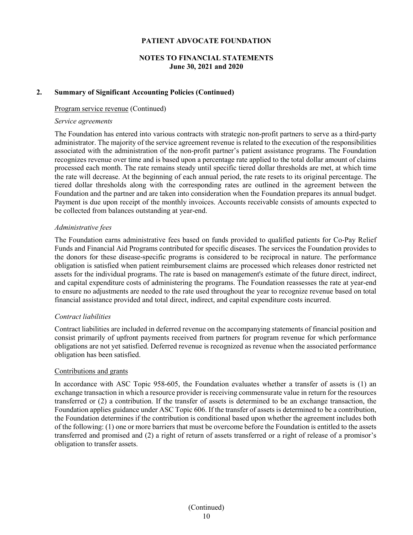## **NOTES TO FINANCIAL STATEMENTS June 30, 2021 and 2020**

## **2. Summary of Significant Accounting Policies (Continued)**

#### Program service revenue (Continued)

#### *Service agreements*

The Foundation has entered into various contracts with strategic non-profit partners to serve as a third-party administrator. The majority of the service agreement revenue is related to the execution of the responsibilities associated with the administration of the non-profit partner's patient assistance programs. The Foundation recognizes revenue over time and is based upon a percentage rate applied to the total dollar amount of claims processed each month. The rate remains steady until specific tiered dollar thresholds are met, at which time the rate will decrease. At the beginning of each annual period, the rate resets to its original percentage. The tiered dollar thresholds along with the corresponding rates are outlined in the agreement between the Foundation and the partner and are taken into consideration when the Foundation prepares its annual budget. Payment is due upon receipt of the monthly invoices. Accounts receivable consists of amounts expected to be collected from balances outstanding at year-end.

### *Administrative fees*

The Foundation earns administrative fees based on funds provided to qualified patients for Co-Pay Relief Funds and Financial Aid Programs contributed for specific diseases. The services the Foundation provides to the donors for these disease-specific programs is considered to be reciprocal in nature. The performance obligation is satisfied when patient reimbursement claims are processed which releases donor restricted net assets for the individual programs. The rate is based on management's estimate of the future direct, indirect, and capital expenditure costs of administering the programs. The Foundation reassesses the rate at year-end to ensure no adjustments are needed to the rate used throughout the year to recognize revenue based on total financial assistance provided and total direct, indirect, and capital expenditure costs incurred.

## *Contract liabilities*

Contract liabilities are included in deferred revenue on the accompanying statements of financial position and consist primarily of upfront payments received from partners for program revenue for which performance obligations are not yet satisfied. Deferred revenue is recognized as revenue when the associated performance obligation has been satisfied.

### Contributions and grants

In accordance with ASC Topic 958-605, the Foundation evaluates whether a transfer of assets is (1) an exchange transaction in which a resource provider is receiving commensurate value in return for the resources transferred or (2) a contribution. If the transfer of assets is determined to be an exchange transaction, the Foundation applies guidance under ASC Topic 606. If the transfer of assets is determined to be a contribution, the Foundation determines if the contribution is conditional based upon whether the agreement includes both of the following: (1) one or more barriers that must be overcome before the Foundation is entitled to the assets transferred and promised and (2) a right of return of assets transferred or a right of release of a promisor's obligation to transfer assets.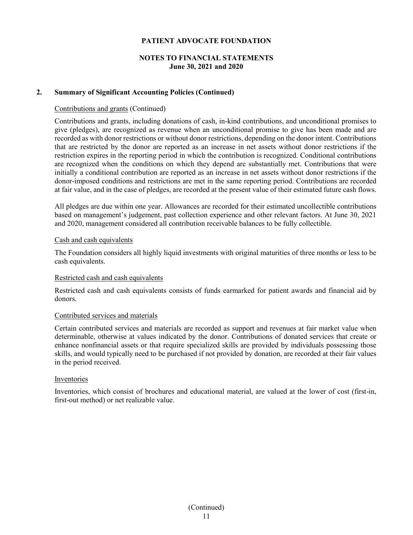## **NOTES TO FINANCIAL STATEMENTS June 30, 2021 and 2020**

#### **2. Summary of Significant Accounting Policies (Continued)**

#### Contributions and grants (Continued)

Contributions and grants, including donations of cash, in-kind contributions, and unconditional promises to give (pledges), are recognized as revenue when an unconditional promise to give has been made and are recorded as with donor restrictions or without donor restrictions, depending on the donor intent. Contributions that are restricted by the donor are reported as an increase in net assets without donor restrictions if the restriction expires in the reporting period in which the contribution is recognized. Conditional contributions are recognized when the conditions on which they depend are substantially met. Contributions that were initially a conditional contribution are reported as an increase in net assets without donor restrictions if the donor-imposed conditions and restrictions are met in the same reporting period. Contributions are recorded at fair value, and in the case of pledges, are recorded at the present value of their estimated future cash flows.

All pledges are due within one year. Allowances are recorded for their estimated uncollectible contributions based on management's judgement, past collection experience and other relevant factors. At June 30, 2021 and 2020, management considered all contribution receivable balances to be fully collectible.

#### Cash and cash equivalents

The Foundation considers all highly liquid investments with original maturities of three months or less to be cash equivalents.

#### Restricted cash and cash equivalents

Restricted cash and cash equivalents consists of funds earmarked for patient awards and financial aid by donors.

## Contributed services and materials

Certain contributed services and materials are recorded as support and revenues at fair market value when determinable, otherwise at values indicated by the donor. Contributions of donated services that create or enhance nonfinancial assets or that require specialized skills are provided by individuals possessing those skills, and would typically need to be purchased if not provided by donation, are recorded at their fair values in the period received.

#### Inventories

Inventories, which consist of brochures and educational material, are valued at the lower of cost (first-in, first-out method) or net realizable value.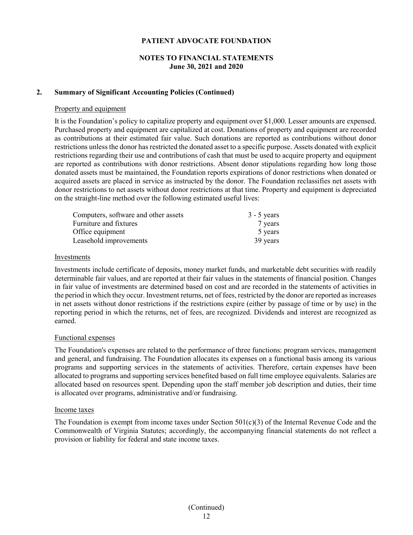## **NOTES TO FINANCIAL STATEMENTS June 30, 2021 and 2020**

### **2. Summary of Significant Accounting Policies (Continued)**

#### Property and equipment

It is the Foundation's policy to capitalize property and equipment over \$1,000. Lesser amounts are expensed. Purchased property and equipment are capitalized at cost. Donations of property and equipment are recorded as contributions at their estimated fair value. Such donations are reported as contributions without donor restrictions unless the donor has restricted the donated asset to a specific purpose. Assets donated with explicit restrictions regarding their use and contributions of cash that must be used to acquire property and equipment are reported as contributions with donor restrictions. Absent donor stipulations regarding how long those donated assets must be maintained, the Foundation reports expirations of donor restrictions when donated or acquired assets are placed in service as instructed by the donor. The Foundation reclassifies net assets with donor restrictions to net assets without donor restrictions at that time. Property and equipment is depreciated on the straight-line method over the following estimated useful lives:

| Computers, software and other assets | $3 - 5$ years |
|--------------------------------------|---------------|
| Furniture and fixtures               | 7 years       |
| Office equipment                     | 5 years       |
| Leasehold improvements               | 39 years      |

#### Investments

Investments include certificate of deposits, money market funds, and marketable debt securities with readily determinable fair values, and are reported at their fair values in the statements of financial position. Changes in fair value of investments are determined based on cost and are recorded in the statements of activities in the period in which they occur. Investment returns, net of fees, restricted by the donor are reported as increases in net assets without donor restrictions if the restrictions expire (either by passage of time or by use) in the reporting period in which the returns, net of fees, are recognized. Dividends and interest are recognized as earned.

#### Functional expenses

The Foundation's expenses are related to the performance of three functions: program services, management and general, and fundraising. The Foundation allocates its expenses on a functional basis among its various programs and supporting services in the statements of activities. Therefore, certain expenses have been allocated to programs and supporting services benefited based on full time employee equivalents. Salaries are allocated based on resources spent. Depending upon the staff member job description and duties, their time is allocated over programs, administrative and/or fundraising.

#### Income taxes

The Foundation is exempt from income taxes under Section  $501(c)(3)$  of the Internal Revenue Code and the Commonwealth of Virginia Statutes; accordingly, the accompanying financial statements do not reflect a provision or liability for federal and state income taxes.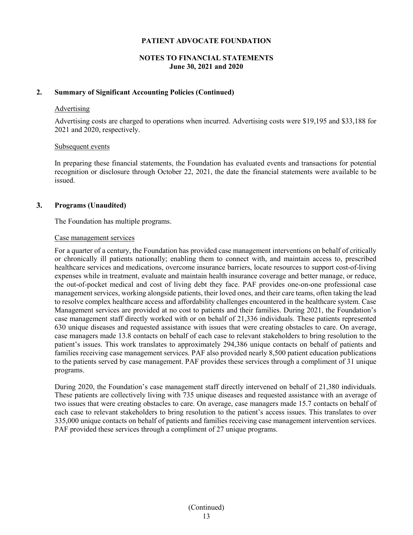## **NOTES TO FINANCIAL STATEMENTS June 30, 2021 and 2020**

#### **2. Summary of Significant Accounting Policies (Continued)**

### Advertising

Advertising costs are charged to operations when incurred. Advertising costs were \$19,195 and \$33,188 for 2021 and 2020, respectively.

### Subsequent events

In preparing these financial statements, the Foundation has evaluated events and transactions for potential recognition or disclosure through October 22, 2021, the date the financial statements were available to be issued.

#### $3.$ **Programs (Unaudited)**

The Foundation has multiple programs.

### Case management services

For a quarter of a century, the Foundation has provided case management interventions on behalf of critically or chronically ill patients nationally; enabling them to connect with, and maintain access to, prescribed healthcare services and medications, overcome insurance barriers, locate resources to support cost-of-living expenses while in treatment, evaluate and maintain health insurance coverage and better manage, or reduce, the out-of-pocket medical and cost of living debt they face. PAF provides one-on-one professional case management services, working alongside patients, their loved ones, and their care teams, often taking the lead to resolve complex healthcare access and affordability challenges encountered in the healthcare system. Case Management services are provided at no cost to patients and their families. During 2021, the Foundation's case management staff directly worked with or on behalf of 21,336 individuals. These patients represented 630 unique diseases and requested assistance with issues that were creating obstacles to care. On average, case managers made 13.8 contacts on behalf of each case to relevant stakeholders to bring resolution to the patient's issues. This work translates to approximately 294,386 unique contacts on behalf of patients and families receiving case management services. PAF also provided nearly 8,500 patient education publications to the patients served by case management. PAF provides these services through a compliment of 31 unique programs.

During 2020, the Foundation's case management staff directly intervened on behalf of 21,380 individuals. These patients are collectively living with 735 unique diseases and requested assistance with an average of two issues that were creating obstacles to care. On average, case managers made 15.7 contacts on behalf of each case to relevant stakeholders to bring resolution to the patient's access issues. This translates to over 335,000 unique contacts on behalf of patients and families receiving case management intervention services. PAF provided these services through a compliment of 27 unique programs.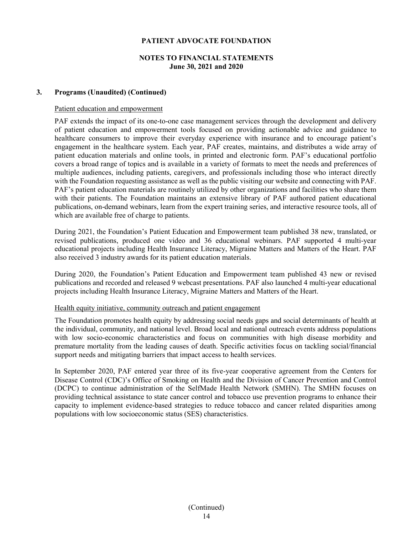## **NOTES TO FINANCIAL STATEMENTS June 30, 2021 and 2020**

#### **3. Programs (Unaudited) (Continued)**

#### Patient education and empowerment

PAF extends the impact of its one-to-one case management services through the development and delivery of patient education and empowerment tools focused on providing actionable advice and guidance to healthcare consumers to improve their everyday experience with insurance and to encourage patient's engagement in the healthcare system. Each year, PAF creates, maintains, and distributes a wide array of patient education materials and online tools, in printed and electronic form. PAF's educational portfolio covers a broad range of topics and is available in a variety of formats to meet the needs and preferences of multiple audiences, including patients, caregivers, and professionals including those who interact directly with the Foundation requesting assistance as well as the public visiting our website and connecting with PAF. PAF's patient education materials are routinely utilized by other organizations and facilities who share them with their patients. The Foundation maintains an extensive library of PAF authored patient educational publications, on-demand webinars, learn from the expert training series, and interactive resource tools, all of which are available free of charge to patients.

During 2021, the Foundation's Patient Education and Empowerment team published 38 new, translated, or revised publications, produced one video and 36 educational webinars. PAF supported 4 multi-year educational projects including Health Insurance Literacy, Migraine Matters and Matters of the Heart. PAF also received 3 industry awards for its patient education materials.

During 2020, the Foundation's Patient Education and Empowerment team published 43 new or revised publications and recorded and released 9 webcast presentations. PAF also launched 4 multi-year educational projects including Health Insurance Literacy, Migraine Matters and Matters of the Heart.

## Health equity initiative, community outreach and patient engagement

The Foundation promotes health equity by addressing social needs gaps and social determinants of health at the individual, community, and national level. Broad local and national outreach events address populations with low socio-economic characteristics and focus on communities with high disease morbidity and premature mortality from the leading causes of death. Specific activities focus on tackling social/financial support needs and mitigating barriers that impact access to health services.

In September 2020, PAF entered year three of its five-year cooperative agreement from the Centers for Disease Control (CDC)'s Office of Smoking on Health and the Division of Cancer Prevention and Control (DCPC) to continue administration of the SelfMade Health Network (SMHN). The SMHN focuses on providing technical assistance to state cancer control and tobacco use prevention programs to enhance their capacity to implement evidence-based strategies to reduce tobacco and cancer related disparities among populations with low socioeconomic status (SES) characteristics.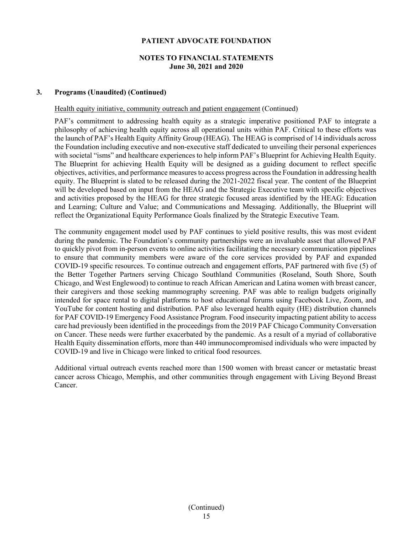## **NOTES TO FINANCIAL STATEMENTS June 30, 2021 and 2020**

#### **3. Programs (Unaudited) (Continued)**

#### Health equity initiative, community outreach and patient engagement (Continued)

PAF's commitment to addressing health equity as a strategic imperative positioned PAF to integrate a philosophy of achieving health equity across all operational units within PAF. Critical to these efforts was the launch of PAF's Health Equity Affinity Group (HEAG). The HEAG is comprised of 14 individuals across the Foundation including executive and non-executive staff dedicated to unveiling their personal experiences with societal "isms" and healthcare experiences to help inform PAF's Blueprint for Achieving Health Equity. The Blueprint for achieving Health Equity will be designed as a guiding document to reflect specific objectives, activities, and performance measures to access progress across the Foundation in addressing health equity. The Blueprint is slated to be released during the 2021-2022 fiscal year. The content of the Blueprint will be developed based on input from the HEAG and the Strategic Executive team with specific objectives and activities proposed by the HEAG for three strategic focused areas identified by the HEAG: Education and Learning; Culture and Value; and Communications and Messaging. Additionally, the Blueprint will reflect the Organizational Equity Performance Goals finalized by the Strategic Executive Team.

The community engagement model used by PAF continues to yield positive results, this was most evident during the pandemic. The Foundation's community partnerships were an invaluable asset that allowed PAF to quickly pivot from in-person events to online activities facilitating the necessary communication pipelines to ensure that community members were aware of the core services provided by PAF and expanded COVID-19 specific resources. To continue outreach and engagement efforts, PAF partnered with five (5) of the Better Together Partners serving Chicago Southland Communities (Roseland, South Shore, South Chicago, and West Englewood) to continue to reach African American and Latina women with breast cancer, their caregivers and those seeking mammography screening. PAF was able to realign budgets originally intended for space rental to digital platforms to host educational forums using Facebook Live, Zoom, and YouTube for content hosting and distribution. PAF also leveraged health equity (HE) distribution channels for PAF COVID-19 Emergency Food Assistance Program. Food insecurity impacting patient ability to access care had previously been identified in the proceedings from the 2019 PAF Chicago Community Conversation on Cancer. These needs were further exacerbated by the pandemic. As a result of a myriad of collaborative Health Equity dissemination efforts, more than 440 immunocompromised individuals who were impacted by COVID-19 and live in Chicago were linked to critical food resources.

Additional virtual outreach events reached more than 1500 women with breast cancer or metastatic breast cancer across Chicago, Memphis, and other communities through engagement with Living Beyond Breast Cancer.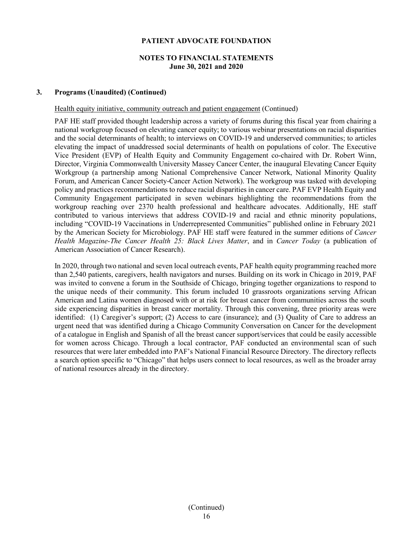## **NOTES TO FINANCIAL STATEMENTS June 30, 2021 and 2020**

#### **3. Programs (Unaudited) (Continued)**

#### Health equity initiative, community outreach and patient engagement (Continued)

PAF HE staff provided thought leadership across a variety of forums during this fiscal year from chairing a national workgroup focused on elevating cancer equity; to various webinar presentations on racial disparities and the social determinants of health; to interviews on COVID-19 and underserved communities; to articles elevating the impact of unaddressed social determinants of health on populations of color. The Executive Vice President (EVP) of Health Equity and Community Engagement co-chaired with Dr. Robert Winn, Director, Virginia Commonwealth University Massey Cancer Center, the inaugural Elevating Cancer Equity Workgroup (a partnership among National Comprehensive Cancer Network, National Minority Quality Forum, and American Cancer Society-Cancer Action Network). The workgroup was tasked with developing policy and practices recommendations to reduce racial disparities in cancer care. PAF EVP Health Equity and Community Engagement participated in seven webinars highlighting the recommendations from the workgroup reaching over 2370 health professional and healthcare advocates. Additionally, HE staff contributed to various interviews that address COVID-19 and racial and ethnic minority populations, including "COVID-19 Vaccinations in Underrepresented Communities" published online in February 2021 by the American Society for Microbiology. PAF HE staff were featured in the summer editions of *Cancer Health Magazine-The Cancer Health 25: Black Lives Matter*, and in *Cancer Today* (a publication of American Association of Cancer Research).

In 2020, through two national and seven local outreach events, PAF health equity programming reached more than 2,540 patients, caregivers, health navigators and nurses. Building on its work in Chicago in 2019, PAF was invited to convene a forum in the Southside of Chicago, bringing together organizations to respond to the unique needs of their community. This forum included 10 grassroots organizations serving African American and Latina women diagnosed with or at risk for breast cancer from communities across the south side experiencing disparities in breast cancer mortality. Through this convening, three priority areas were identified: (1) Caregiver's support; (2) Access to care (insurance); and (3) Quality of Care to address an urgent need that was identified during a Chicago Community Conversation on Cancer for the development of a catalogue in English and Spanish of all the breast cancer support/services that could be easily accessible for women across Chicago. Through a local contractor, PAF conducted an environmental scan of such resources that were later embedded into PAF's National Financial Resource Directory. The directory reflects a search option specific to "Chicago" that helps users connect to local resources, as well as the broader array of national resources already in the directory.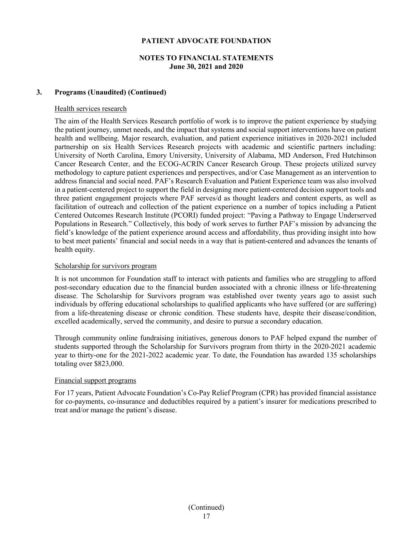## **NOTES TO FINANCIAL STATEMENTS June 30, 2021 and 2020**

## **3. Programs (Unaudited) (Continued)**

#### Health services research

The aim of the Health Services Research portfolio of work is to improve the patient experience by studying the patient journey, unmet needs, and the impact that systems and social support interventions have on patient health and wellbeing. Major research, evaluation, and patient experience initiatives in 2020-2021 included partnership on six Health Services Research projects with academic and scientific partners including: University of North Carolina, Emory University, University of Alabama, MD Anderson, Fred Hutchinson Cancer Research Center, and the ECOG-ACRIN Cancer Research Group. These projects utilized survey methodology to capture patient experiences and perspectives, and/or Case Management as an intervention to address financial and social need. PAF's Research Evaluation and Patient Experience team was also involved in a patient-centered project to support the field in designing more patient-centered decision support tools and three patient engagement projects where PAF serves/d as thought leaders and content experts, as well as facilitation of outreach and collection of the patient experience on a number of topics including a Patient Centered Outcomes Research Institute (PCORI) funded project: "Paving a Pathway to Engage Underserved Populations in Research." Collectively, this body of work serves to further PAF's mission by advancing the field's knowledge of the patient experience around access and affordability, thus providing insight into how to best meet patients' financial and social needs in a way that is patient-centered and advances the tenants of health equity.

#### Scholarship for survivors program

It is not uncommon for Foundation staff to interact with patients and families who are struggling to afford post-secondary education due to the financial burden associated with a chronic illness or life-threatening disease. The Scholarship for Survivors program was established over twenty years ago to assist such individuals by offering educational scholarships to qualified applicants who have suffered (or are suffering) from a life-threatening disease or chronic condition. These students have, despite their disease/condition, excelled academically, served the community, and desire to pursue a secondary education.

Through community online fundraising initiatives, generous donors to PAF helped expand the number of students supported through the Scholarship for Survivors program from thirty in the 2020-2021 academic year to thirty-one for the 2021-2022 academic year. To date, the Foundation has awarded 135 scholarships totaling over \$823,000.

#### Financial support programs

For 17 years, Patient Advocate Foundation's Co-Pay Relief Program (CPR) has provided financial assistance for co-payments, co-insurance and deductibles required by a patient's insurer for medications prescribed to treat and/or manage the patient's disease.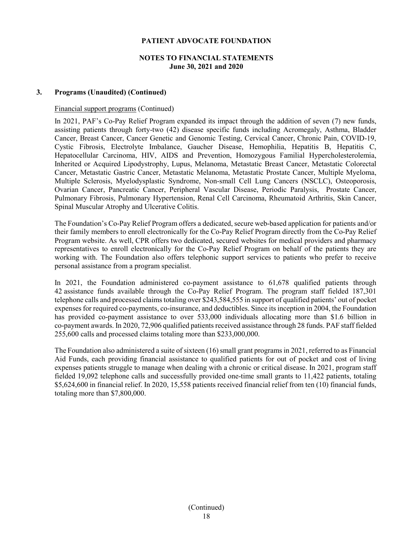## **NOTES TO FINANCIAL STATEMENTS June 30, 2021 and 2020**

#### **3. Programs (Unaudited) (Continued)**

### Financial support programs (Continued)

In 2021, PAF's Co-Pay Relief Program expanded its impact through the addition of seven (7) new funds, assisting patients through forty-two (42) disease specific funds including Acromegaly, Asthma, Bladder Cancer, Breast Cancer, Cancer Genetic and Genomic Testing, Cervical Cancer, Chronic Pain, COVID-19, Cystic Fibrosis, Electrolyte Imbalance, Gaucher Disease, Hemophilia, Hepatitis B, Hepatitis C, Hepatocellular Carcinoma, HIV, AIDS and Prevention, Homozygous Familial Hypercholesterolemia, Inherited or Acquired Lipodystrophy, Lupus, Melanoma, Metastatic Breast Cancer, Metastatic Colorectal Cancer, Metastatic Gastric Cancer, Metastatic Melanoma, Metastatic Prostate Cancer, Multiple Myeloma, Multiple Sclerosis, Myelodysplastic Syndrome, Non-small Cell Lung Cancers (NSCLC), Osteoporosis, Ovarian Cancer, Pancreatic Cancer, Peripheral Vascular Disease, Periodic Paralysis, Prostate Cancer, Pulmonary Fibrosis, Pulmonary Hypertension, Renal Cell Carcinoma, Rheumatoid Arthritis, Skin Cancer, Spinal Muscular Atrophy and Ulcerative Colitis.

The Foundation's Co-Pay Relief Program offers a dedicated, secure web-based application for patients and/or their family members to enroll electronically for the Co-Pay Relief Program directly from the Co-Pay Relief Program website. As well, CPR offers two dedicated, secured websites for medical providers and pharmacy representatives to enroll electronically for the Co-Pay Relief Program on behalf of the patients they are working with. The Foundation also offers telephonic support services to patients who prefer to receive personal assistance from a program specialist.

In 2021, the Foundation administered co-payment assistance to 61,678 qualified patients through 42 assistance funds available through the Co-Pay Relief Program. The program staff fielded 187,301 telephone calls and processed claims totaling over \$243,584,555 in support of qualified patients' out of pocket expenses for required co-payments, co-insurance, and deductibles. Since its inception in 2004, the Foundation has provided co-payment assistance to over 533,000 individuals allocating more than \$1.6 billion in co-payment awards. In 2020, 72,906 qualified patients received assistance through 28 funds. PAF staff fielded 255,600 calls and processed claims totaling more than \$233,000,000.

The Foundation also administered a suite of sixteen (16) small grant programs in 2021, referred to as Financial Aid Funds, each providing financial assistance to qualified patients for out of pocket and cost of living expenses patients struggle to manage when dealing with a chronic or critical disease. In 2021, program staff fielded 19,092 telephone calls and successfully provided one-time small grants to 11,422 patients, totaling \$5,624,600 in financial relief. In 2020, 15,558 patients received financial relief from ten (10) financial funds, totaling more than \$7,800,000.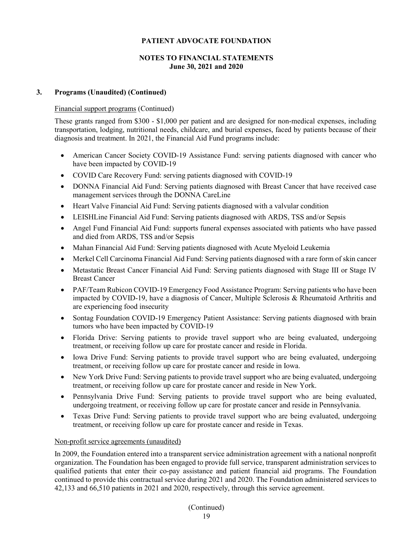## **NOTES TO FINANCIAL STATEMENTS June 30, 2021 and 2020**

## **3. Programs (Unaudited) (Continued)**

### Financial support programs (Continued)

These grants ranged from \$300 - \$1,000 per patient and are designed for non-medical expenses, including transportation, lodging, nutritional needs, childcare, and burial expenses, faced by patients because of their diagnosis and treatment. In 2021, the Financial Aid Fund programs include:

- American Cancer Society COVID-19 Assistance Fund: serving patients diagnosed with cancer who have been impacted by COVID-19
- COVID Care Recovery Fund: serving patients diagnosed with COVID-19
- DONNA Financial Aid Fund: Serving patients diagnosed with Breast Cancer that have received case management services through the DONNA CareLine
- Heart Valve Financial Aid Fund: Serving patients diagnosed with a valvular condition
- LEISHLine Financial Aid Fund: Serving patients diagnosed with ARDS, TSS and/or Sepsis
- Angel Fund Financial Aid Fund: supports funeral expenses associated with patients who have passed and died from ARDS, TSS and/or Sepsis
- Mahan Financial Aid Fund: Serving patients diagnosed with Acute Myeloid Leukemia
- Merkel Cell Carcinoma Financial Aid Fund: Serving patients diagnosed with a rare form of skin cancer
- Metastatic Breast Cancer Financial Aid Fund: Serving patients diagnosed with Stage III or Stage IV Breast Cancer
- PAF/Team Rubicon COVID-19 Emergency Food Assistance Program: Serving patients who have been impacted by COVID-19, have a diagnosis of Cancer, Multiple Sclerosis & Rheumatoid Arthritis and are experiencing food insecurity
- Sontag Foundation COVID-19 Emergency Patient Assistance: Serving patients diagnosed with brain tumors who have been impacted by COVID-19
- Florida Drive: Serving patients to provide travel support who are being evaluated, undergoing treatment, or receiving follow up care for prostate cancer and reside in Florida.
- Iowa Drive Fund: Serving patients to provide travel support who are being evaluated, undergoing treatment, or receiving follow up care for prostate cancer and reside in Iowa.
- New York Drive Fund: Serving patients to provide travel support who are being evaluated, undergoing treatment, or receiving follow up care for prostate cancer and reside in New York.
- Pennsylvania Drive Fund: Serving patients to provide travel support who are being evaluated, undergoing treatment, or receiving follow up care for prostate cancer and reside in Pennsylvania.
- Texas Drive Fund: Serving patients to provide travel support who are being evaluated, undergoing treatment, or receiving follow up care for prostate cancer and reside in Texas.

#### Non-profit service agreements (unaudited)

In 2009, the Foundation entered into a transparent service administration agreement with a national nonprofit organization. The Foundation has been engaged to provide full service, transparent administration services to qualified patients that enter their co-pay assistance and patient financial aid programs. The Foundation continued to provide this contractual service during 2021 and 2020. The Foundation administered services to 42,133 and 66,510 patients in 2021 and 2020, respectively, through this service agreement.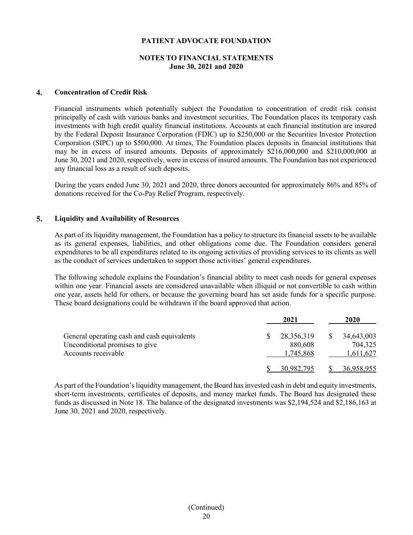## **NOTES TO FINANCIAL STATEMENTS June 30, 2021 and 2020**

#### 4. **Concentration of Credit Risk**

Financial instruments which potentially subject the Foundation to concentration of credit risk consist principally of cash with various banks and investment securities. The Foundation places its temporary cash investments with high credit quality financial institutions. Accounts at each financial institution are insured by the Federal Deposit Insurance Corporation (FDIC) up to \$250,000 or the Securities Investor Protection Corporation (SIPC) up to \$500,000. At times, The Foundation places deposits in financial institutions that may be in excess of insured amounts. Deposits of approximately \$216,000,000 and \$210,000,000 at June 30, 2021 and 2020, respectively, were in excess of insured amounts. The Foundation has not experienced any financial loss as a result of such deposits.

During the years ended June 30, 2021 and 2020, three donors accounted for approximately 86% and 85% of donations received for the Co-Pay Relief Program, respectively.

#### 5. **Liquidity and Availability of Resources**

As part of its liquidity management, the Foundation has a policy to structure its financial assets to be available as its general expenses, liabilities, and other obligations come due. The Foundation considers general expenditures to be all expenditures related to its ongoing activities of providing services to its clients as well as the conduct of services undertaken to support those activities' general expenditures.

The following schedule explains the Foundation's financial ability to meet cash needs for general expenses within one year. Financial assets are considered unavailable when illiquid or not convertible to cash within one year, assets held for others, or because the governing board has set aside funds for a specific purpose. These board designations could be withdrawn if the board approved that action.

|                                                                               | 2021                  |    | 2020                  |
|-------------------------------------------------------------------------------|-----------------------|----|-----------------------|
| General operating cash and cash equivalents<br>Unconditional promises to give | 28,356,319<br>880,608 | -S | 34,643,003<br>704,325 |
| Accounts receivable                                                           | 1,745,868             |    | 1,611,627             |
|                                                                               | 30,982,795            |    | 36,958,955            |

As part of the Foundation's liquidity management, the Board has invested cash in debt and equity investments, short-term investments, certificates of deposits, and money market funds. The Board has designated these funds as discussed in Note 18. The balance of the designated investments was \$2,194,524 and \$2,186,163 at June 30, 2021 and 2020, respectively.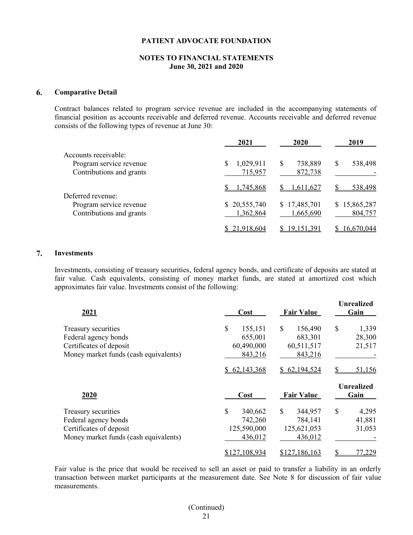## **NOTES TO FINANCIAL STATEMENTS June 30, 2021 and 2020**

#### 6. **Comparative Detail**

Contract balances related to program service revenue are included in the accompanying statements of financial position as accounts receivable and deferred revenue. Accounts receivable and deferred revenue consists of the following types of revenue at June 30:

|                                                                             | 2021                      | 2020                      | 2019                    |
|-----------------------------------------------------------------------------|---------------------------|---------------------------|-------------------------|
| Accounts receivable:<br>Program service revenue<br>Contributions and grants | 1,029,911<br>715,957      | 738,889<br>\$<br>872,738  | 538,498<br>S            |
| Deferred revenue:                                                           | 1,745,868                 | 1,611,627                 | 538,498                 |
| Program service revenue<br>Contributions and grants                         | \$20,555,740<br>1,362,864 | \$17,485,701<br>1,665,690 | \$15,865,287<br>804,757 |
|                                                                             | 21,918,604                | 19.151.391                | 16,670,044              |

#### 7. **Investments**

Investments, consisting of treasury securities, federal agency bonds, and certificate of deposits are stated at fair value. Cash equivalents, consisting of money market funds, are stated at amortized cost which approximates fair value. Investments consist of the following:

| 2021                                  | Cost          | <b>Fair Value</b> | <b>Unrealized</b><br>Gain |
|---------------------------------------|---------------|-------------------|---------------------------|
| Treasury securities                   | \$<br>155,151 | \$<br>156,490     | \$<br>1,339               |
| Federal agency bonds                  | 655,001       | 683,301           | 28,300                    |
| Certificates of deposit               | 60,490,000    | 60,511,517        | 21,517                    |
| Money market funds (cash equivalents) | 843,216       | 843,216           |                           |
|                                       | \$62,143,368  | \$62,194,524      | 51,156                    |
| 2020                                  | Cost          | <b>Fair Value</b> | <b>Unrealized</b><br>Gain |
| Treasury securities                   | \$<br>340,662 | \$<br>344,957     | \$<br>4,295               |
| Federal agency bonds                  | 742,260       | 784,141           | 41,881                    |
| Certificates of deposit               | 125,590,000   | 125,621,053       | 31,053                    |
| Money market funds (cash equivalents) | 436,012       | 436,012           |                           |
|                                       | \$127,108,934 | \$127,186,163     | 77,229                    |

Fair value is the price that would be received to sell an asset or paid to transfer a liability in an orderly transaction between market participants at the measurement date. See Note 8 for discussion of fair value measurements.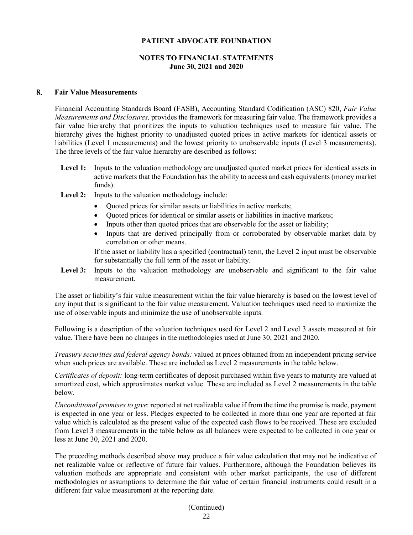## **NOTES TO FINANCIAL STATEMENTS June 30, 2021 and 2020**

#### 8. **Fair Value Measurements**

Financial Accounting Standards Board (FASB), Accounting Standard Codification (ASC) 820, *Fair Value Measurements and Disclosures,* provides the framework for measuring fair value. The framework provides a fair value hierarchy that prioritizes the inputs to valuation techniques used to measure fair value. The hierarchy gives the highest priority to unadjusted quoted prices in active markets for identical assets or liabilities (Level 1 measurements) and the lowest priority to unobservable inputs (Level 3 measurements). The three levels of the fair value hierarchy are described as follows:

- Level 1: Inputs to the valuation methodology are unadjusted quoted market prices for identical assets in active markets that the Foundation has the ability to access and cash equivalents (money market funds).
- Level 2: Inputs to the valuation methodology include:
	- Quoted prices for similar assets or liabilities in active markets;
	- Quoted prices for identical or similar assets or liabilities in inactive markets;
	- Inputs other than quoted prices that are observable for the asset or liability;
	- Inputs that are derived principally from or corroborated by observable market data by correlation or other means.

If the asset or liability has a specified (contractual) term, the Level 2 input must be observable for substantially the full term of the asset or liability.

**Level 3:** Inputs to the valuation methodology are unobservable and significant to the fair value measurement.

The asset or liability's fair value measurement within the fair value hierarchy is based on the lowest level of any input that is significant to the fair value measurement. Valuation techniques used need to maximize the use of observable inputs and minimize the use of unobservable inputs.

Following is a description of the valuation techniques used for Level 2 and Level 3 assets measured at fair value. There have been no changes in the methodologies used at June 30, 2021 and 2020.

*Treasury securities and federal agency bonds:* valued at prices obtained from an independent pricing service when such prices are available. These are included as Level 2 measurements in the table below.

*Certificates of deposit:* long-term certificates of deposit purchased within five years to maturity are valued at amortized cost, which approximates market value. These are included as Level 2 measurements in the table below.

*Unconditional promises to give*: reported at net realizable value if from the time the promise is made, payment is expected in one year or less. Pledges expected to be collected in more than one year are reported at fair value which is calculated as the present value of the expected cash flows to be received. These are excluded from Level 3 measurements in the table below as all balances were expected to be collected in one year or less at June 30, 2021 and 2020.

The preceding methods described above may produce a fair value calculation that may not be indicative of net realizable value or reflective of future fair values. Furthermore, although the Foundation believes its valuation methods are appropriate and consistent with other market participants, the use of different methodologies or assumptions to determine the fair value of certain financial instruments could result in a different fair value measurement at the reporting date.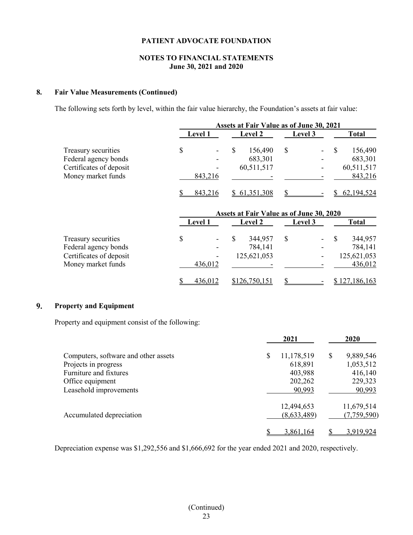## **NOTES TO FINANCIAL STATEMENTS June 30, 2021 and 2020**

### **8. Fair Value Measurements (Continued)**

The following sets forth by level, within the fair value hierarchy, the Foundation's assets at fair value:

|                         | <b>Assets at Fair Value as of June 30, 2021</b> |                                          |              |               |  |  |
|-------------------------|-------------------------------------------------|------------------------------------------|--------------|---------------|--|--|
|                         | Level 1                                         | Level 2                                  | Level 3      | <b>Total</b>  |  |  |
| Treasury securities     | \$                                              | 156,490<br>S                             | $\mathbb{S}$ | 156,490       |  |  |
| Federal agency bonds    |                                                 | 683,301                                  |              | 683,301       |  |  |
| Certificates of deposit |                                                 | 60,511,517                               |              | 60,511,517    |  |  |
| Money market funds      | 843,216                                         |                                          |              | 843,216       |  |  |
|                         | 843,216                                         | 61,351,308<br>S.                         |              | 62,194,524    |  |  |
|                         |                                                 | Assets at Fair Value as of June 30, 2020 |              |               |  |  |
|                         | Level 1                                         | Level 2                                  | Level 3      | <b>Total</b>  |  |  |
| Treasury securities     | \$                                              | \$<br>344,957                            | \$           | 344,957       |  |  |
| Federal agency bonds    |                                                 | 784,141                                  |              | 784,141       |  |  |
| Certificates of deposit |                                                 | 125,621,053                              |              | 125,621,053   |  |  |
| Money market funds      | 436,012                                         |                                          |              | 436,012       |  |  |
|                         | 436,012<br>S                                    | \$126,750,151                            |              | \$127,186,163 |  |  |

#### **Property and Equipment** 9.

Property and equipment consist of the following:

|                                      |   | 2021        |   | 2020        |
|--------------------------------------|---|-------------|---|-------------|
| Computers, software and other assets | S | 11,178,519  | S | 9,889,546   |
| Projects in progress                 |   | 618,891     |   | 1,053,512   |
| Furniture and fixtures               |   | 403,988     |   | 416,140     |
| Office equipment                     |   | 202,262     |   | 229,323     |
| Leasehold improvements               |   | 90,993      |   | 90,993      |
|                                      |   | 12,494,653  |   | 11,679,514  |
| Accumulated depreciation             |   | (8,633,489) |   | (7,759,590) |
|                                      |   | 3,861,164   |   | 3,919,924   |

Depreciation expense was \$1,292,556 and \$1,666,692 for the year ended 2021 and 2020, respectively.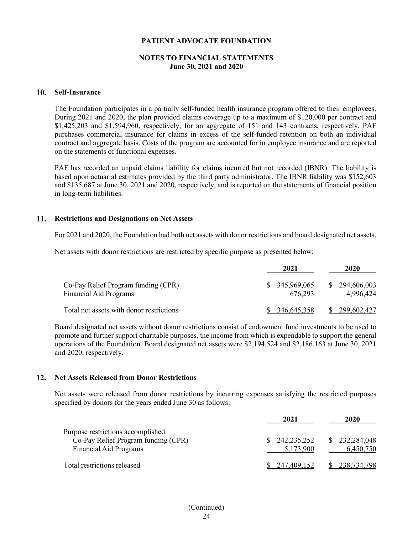## **NOTES TO FINANCIAL STATEMENTS June 30, 2021 and 2020**

#### **Self-Insurance**

The Foundation participates in a partially self-funded health insurance program offered to their employees. During 2021 and 2020, the plan provided claims coverage up to a maximum of \$120,000 per contract and \$1,425,203 and \$1,594,960, respectively, for an aggregate of 151 and 143 contracts, respectively. PAF purchases commercial insurance for claims in excess of the self-funded retention on both an individual contract and aggregate basis. Costs of the program are accounted for in employee insurance and are reported on the statements of functional expenses.

PAF has recorded an unpaid claims liability for claims incurred but not recorded (IBNR). The liability is based upon actuarial estimates provided by the third party administrator. The IBNR liability was \$152,603 and \$135,687 at June 30, 2021 and 2020, respectively, and is reported on the statements of financial position in long-term liabilities.

#### 11. **Restrictions and Designations on Net Assets**

For 2021 and 2020, the Foundation had both net assets with donor restrictions and board designated net assets.

Net assets with donor restrictions are restricted by specific purpose as presented below:

|                                                                      | 2021                     | 2020                       |
|----------------------------------------------------------------------|--------------------------|----------------------------|
| Co-Pay Relief Program funding (CPR)<br><b>Financial Aid Programs</b> | \$345,969,065<br>676.293 | \$294,606,003<br>4,996,424 |
| Total net assets with donor restrictions                             | 346,645,358              | 299,602,427                |

Board designated net assets without donor restrictions consist of endowment fund investments to be used to promote and further support charitable purposes, the income from which is expendable to support the general operations of the Foundation. Board designated net assets were \$2,194,524 and \$2,186,163 at June 30, 2021 and 2020, respectively.

#### 12. **Net Assets Released from Donor Restrictions**

Net assets were released from donor restrictions by incurring expenses satisfying the restricted purposes specified by donors for the years ended June 30 as follows:

|                                                                                                     | 2021                     | 2020                       |
|-----------------------------------------------------------------------------------------------------|--------------------------|----------------------------|
| Purpose restrictions accomplished:<br>Co-Pay Relief Program funding (CPR)<br>Financial Aid Programs | 242,235,252<br>5,173,900 | \$232,284,048<br>6,450,750 |
| Total restrictions released                                                                         | 247.409.152              | 238,734,798                |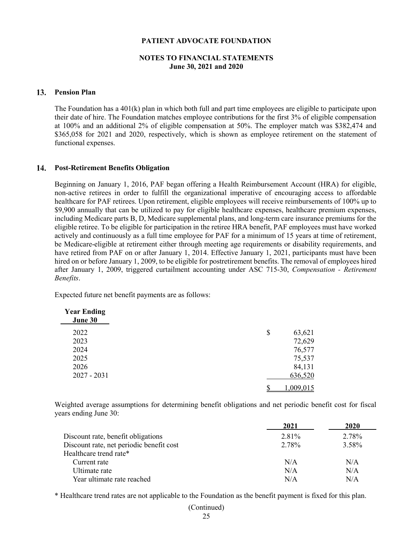## **NOTES TO FINANCIAL STATEMENTS June 30, 2021 and 2020**

#### **Pension Plan**

The Foundation has a 401(k) plan in which both full and part time employees are eligible to participate upon their date of hire. The Foundation matches employee contributions for the first 3% of eligible compensation at 100% and an additional 2% of eligible compensation at 50%. The employer match was \$382,474 and \$365,058 for 2021 and 2020, respectively, which is shown as employee retirement on the statement of functional expenses.

### **Post-Retirement Benefits Obligation**

Beginning on January 1, 2016, PAF began offering a Health Reimbursement Account (HRA) for eligible, non-active retirees in order to fulfill the organizational imperative of encouraging access to affordable healthcare for PAF retirees. Upon retirement, eligible employees will receive reimbursements of 100% up to \$9,900 annually that can be utilized to pay for eligible healthcare expenses, healthcare premium expenses, including Medicare parts B, D, Medicare supplemental plans, and long-term care insurance premiums for the eligible retiree. To be eligible for participation in the retiree HRA benefit, PAF employees must have worked actively and continuously as a full time employee for PAF for a minimum of 15 years at time of retirement, be Medicare-eligible at retirement either through meeting age requirements or disability requirements, and have retired from PAF on or after January 1, 2014. Effective January 1, 2021, participants must have been hired on or before January 1, 2009, to be eligible for postretirement benefits. The removal of employees hired after January 1, 2009, triggered curtailment accounting under ASC 715-30, *Compensation - Retirement Benefits*.

Expected future net benefit payments are as follows:

| <b>Year Ending</b><br>June 30 |                |
|-------------------------------|----------------|
| 2022                          | \$<br>63,621   |
| 2023                          | 72,629         |
| 2024                          | 76,577         |
| 2025                          | 75,537         |
| 2026                          | 84,131         |
| $2027 - 2031$                 | 636,520        |
|                               | œ<br>1,009,015 |

Weighted average assumptions for determining benefit obligations and net periodic benefit cost for fiscal years ending June 30:

|                                          | 2021  | 2020  |
|------------------------------------------|-------|-------|
| Discount rate, benefit obligations       | 2.81% | 2.78% |
| Discount rate, net periodic benefit cost | 2.78% | 3.58% |
| Healthcare trend rate*                   |       |       |
| Current rate                             | N/A   | N/A   |
| Ultimate rate                            | N/A   | N/A   |
| Year ultimate rate reached               | N/A   | N/A   |

\* Healthcare trend rates are not applicable to the Foundation as the benefit payment is fixed for this plan.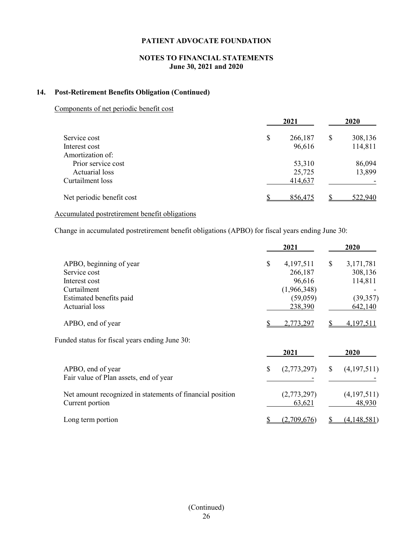## **NOTES TO FINANCIAL STATEMENTS June 30, 2021 and 2020**

# **14. Post-Retirement Benefits Obligation (Continued)**

# Components of net periodic benefit cost

|                           | 2021          |   | 2020    |
|---------------------------|---------------|---|---------|
| Service cost              | \$<br>266,187 | S | 308,136 |
| Interest cost             | 96,616        |   | 114,811 |
| Amortization of:          |               |   |         |
| Prior service cost        | 53,310        |   | 86,094  |
| <b>Actuarial</b> loss     | 25,725        |   | 13,899  |
| Curtailment loss          | 414,637       |   |         |
| Net periodic benefit cost | 856,475       |   | 522,940 |

# Accumulated postretirement benefit obligations

Change in accumulated postretirement benefit obligations (APBO) for fiscal years ending June 30:

|                                                           |              | 2021        | 2020              |
|-----------------------------------------------------------|--------------|-------------|-------------------|
| APBO, beginning of year                                   | \$           | 4,197,511   | \$<br>3,171,781   |
| Service cost                                              |              | 266,187     | 308,136           |
| Interest cost                                             |              | 96,616      | 114,811           |
| Curtailment                                               |              | (1,966,348) |                   |
| Estimated benefits paid                                   |              | (59,059)    | (39, 357)         |
| <b>Actuarial</b> loss                                     |              | 238,390     | 642,140           |
| APBO, end of year                                         |              | 2,773,297   | 4,197,511         |
| Funded status for fiscal years ending June 30:            |              |             |                   |
|                                                           |              | 2021        | 2020              |
| APBO, end of year                                         | $\mathbb{S}$ | (2,773,297) | \$<br>(4,197,511) |
| Fair value of Plan assets, end of year                    |              |             |                   |
| Net amount recognized in statements of financial position |              | (2,773,297) | (4,197,511)       |
| Current portion                                           |              | 63,621      | 48,930            |
| Long term portion                                         |              | (2,709,676) | (4,148,581)       |
|                                                           |              |             |                   |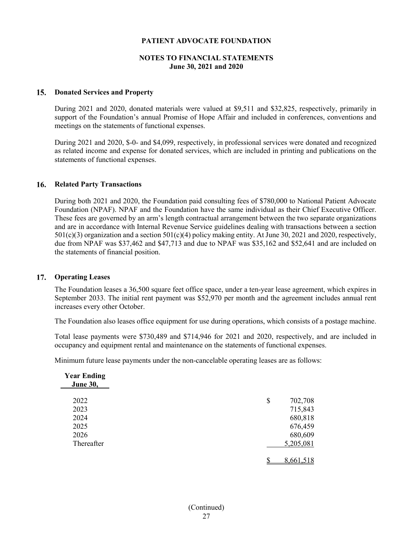## **NOTES TO FINANCIAL STATEMENTS June 30, 2021 and 2020**

#### **Donated Services and Property**

During 2021 and 2020, donated materials were valued at \$9,511 and \$32,825, respectively, primarily in support of the Foundation's annual Promise of Hope Affair and included in conferences, conventions and meetings on the statements of functional expenses.

During 2021 and 2020, \$-0- and \$4,099, respectively, in professional services were donated and recognized as related income and expense for donated services, which are included in printing and publications on the statements of functional expenses.

#### **Related Party Transactions**

During both 2021 and 2020, the Foundation paid consulting fees of \$780,000 to National Patient Advocate Foundation (NPAF). NPAF and the Foundation have the same individual as their Chief Executive Officer. These fees are governed by an arm's length contractual arrangement between the two separate organizations and are in accordance with Internal Revenue Service guidelines dealing with transactions between a section 501(c)(3) organization and a section 501(c)(4) policy making entity. At June 30, 2021 and 2020, respectively, due from NPAF was \$37,462 and \$47,713 and due to NPAF was \$35,162 and \$52,641 and are included on the statements of financial position.

#### **Operating Leases**

The Foundation leases a 36,500 square feet office space, under a ten-year lease agreement, which expires in September 2033. The initial rent payment was \$52,970 per month and the agreement includes annual rent increases every other October.

The Foundation also leases office equipment for use during operations, which consists of a postage machine.

Total lease payments were \$730,489 and \$714,946 for 2021 and 2020, respectively, and are included in occupancy and equipment rental and maintenance on the statements of functional expenses.

Minimum future lease payments under the non-cancelable operating leases are as follows:

| <b>Year Ending</b> |                   |  |
|--------------------|-------------------|--|
| <b>June 30,</b>    |                   |  |
|                    |                   |  |
| 2022               | \$<br>702,708     |  |
| 2023               | 715,843           |  |
| 2024               | 680,818           |  |
| 2025               | 676,459           |  |
| 2026               | 680,609           |  |
| Thereafter         | 5,205,081         |  |
|                    |                   |  |
|                    | ¢<br>8,661,5<br>Φ |  |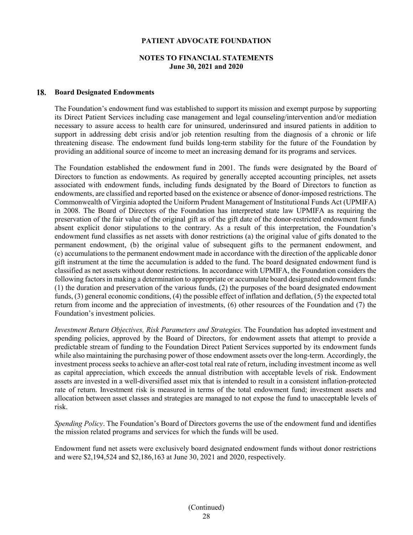## **NOTES TO FINANCIAL STATEMENTS June 30, 2021 and 2020**

#### 18. **Board Designated Endowments**

The Foundation's endowment fund was established to support its mission and exempt purpose by supporting its Direct Patient Services including case management and legal counseling/intervention and/or mediation necessary to assure access to health care for uninsured, underinsured and insured patients in addition to support in addressing debt crisis and/or job retention resulting from the diagnosis of a chronic or life threatening disease. The endowment fund builds long-term stability for the future of the Foundation by providing an additional source of income to meet an increasing demand for its programs and services.

The Foundation established the endowment fund in 2001. The funds were designated by the Board of Directors to function as endowments. As required by generally accepted accounting principles, net assets associated with endowment funds, including funds designated by the Board of Directors to function as endowments, are classified and reported based on the existence or absence of donor-imposed restrictions. The Commonwealth of Virginia adopted the Uniform Prudent Management of Institutional Funds Act (UPMIFA) in 2008. The Board of Directors of the Foundation has interpreted state law UPMIFA as requiring the preservation of the fair value of the original gift as of the gift date of the donor-restricted endowment funds absent explicit donor stipulations to the contrary. As a result of this interpretation, the Foundation's endowment fund classifies as net assets with donor restrictions (a) the original value of gifts donated to the permanent endowment, (b) the original value of subsequent gifts to the permanent endowment, and (c) accumulations to the permanent endowment made in accordance with the direction of the applicable donor gift instrument at the time the accumulation is added to the fund. The board designated endowment fund is classified as net assets without donor restrictions. In accordance with UPMIFA, the Foundation considers the following factors in making a determination to appropriate or accumulate board designated endowment funds: (1) the duration and preservation of the various funds, (2) the purposes of the board designated endowment funds, (3) general economic conditions, (4) the possible effect of inflation and deflation, (5) the expected total return from income and the appreciation of investments, (6) other resources of the Foundation and (7) the Foundation's investment policies.

*Investment Return Objectives, Risk Parameters and Strategies.* The Foundation has adopted investment and spending policies, approved by the Board of Directors, for endowment assets that attempt to provide a predictable stream of funding to the Foundation Direct Patient Services supported by its endowment funds while also maintaining the purchasing power of those endowment assets over the long-term. Accordingly, the investment process seeks to achieve an after-cost total real rate of return, including investment income as well as capital appreciation, which exceeds the annual distribution with acceptable levels of risk. Endowment assets are invested in a well-diversified asset mix that is intended to result in a consistent inflation-protected rate of return. Investment risk is measured in terms of the total endowment fund; investment assets and allocation between asset classes and strategies are managed to not expose the fund to unacceptable levels of risk.

*Spending Policy*. The Foundation's Board of Directors governs the use of the endowment fund and identifies the mission related programs and services for which the funds will be used.

Endowment fund net assets were exclusively board designated endowment funds without donor restrictions and were \$2,194,524 and \$2,186,163 at June 30, 2021 and 2020, respectively.